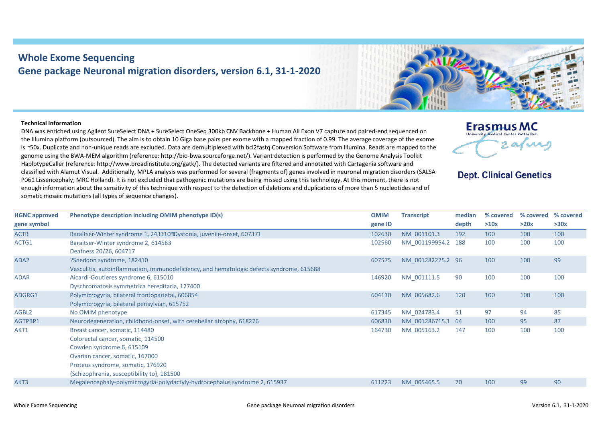## **Whole Exome Sequencing Gene package Neuronal migration disorders, version 6.1, 31-1-2020**

## **Technical information**

DNA was enriched using Agilent SureSelect DNA + SureSelect OneSeq 300kb CNV Backbone + Human All Exon V7 capture and paired-end sequenced on the Illumina platform (outsourced). The aim is to obtain 10 Giga base pairs per exome with a mapped fraction of 0.99. The average coverage of the exome is ~50x. Duplicate and non-unique reads are excluded. Data are demultiplexed with bcl2fastq Conversion Software from Illumina. Reads are mapped to the genome using the BWA-MEM algorithm (reference: http://bio‐bwa.sourceforge.net/). Variant detection is performed by the Genome Analysis Toolkit HaplotypeCaller (reference: http://www.broadinstitute.org/gatk/). The detected variants are filtered and annotated with Cartagenia software and classified with Alamut Visual. Additionally, MPLA analysis was performed for several (fragments of) genes involved in neuronal migration disorders (SALSA P061 Lissencephaly; MRC Holland). It is not excluded that pathogenic mutations are being missed using this technology. At this moment, there is not enough information about the sensitivity of this technique with respect to the detection of deletions and duplications of more than 5 nucleotides and of somatic mosaic mutations (all types of sequence changes).



**Dept. Clinical Genetics** 

| <b>HGNC approved</b> | Phenotype description including OMIM phenotype ID(s)                                     | <b>OMIM</b> | <b>Transcript</b>  | median | % covered | % covered | % covered |
|----------------------|------------------------------------------------------------------------------------------|-------------|--------------------|--------|-----------|-----------|-----------|
| gene symbol          |                                                                                          | gene ID     |                    | depth  | >10x      | >20x      | >30x      |
| <b>ACTB</b>          | Baraitser-Winter syndrome 1, 243310?Dystonia, juvenile-onset, 607371                     | 102630      | NM 001101.3        | 192    | 100       | 100       | 100       |
| ACTG1                | Baraitser-Winter syndrome 2, 614583                                                      | 102560      | NM_001199954.2 188 |        | 100       | 100       | 100       |
|                      | Deafness 20/26, 604717                                                                   |             |                    |        |           |           |           |
| ADA <sub>2</sub>     | ?Sneddon syndrome, 182410                                                                | 607575      | NM_001282225.2 96  |        | 100       | 100       | 99        |
|                      | Vasculitis, autoinflammation, immunodeficiency, and hematologic defects syndrome, 615688 |             |                    |        |           |           |           |
| <b>ADAR</b>          | Aicardi-Goutieres syndrome 6, 615010                                                     | 146920      | NM_001111.5        | 90     | 100       | 100       | 100       |
|                      | Dyschromatosis symmetrica hereditaria, 127400                                            |             |                    |        |           |           |           |
| ADGRG1               | Polymicrogyria, bilateral frontoparietal, 606854                                         | 604110      | NM 005682.6        | 120    | 100       | 100       | 100       |
|                      | Polymicrogyria, bilateral perisylvian, 615752                                            |             |                    |        |           |           |           |
| AGBL <sub>2</sub>    | No OMIM phenotype                                                                        | 617345      | NM 024783.4        | 51     | 97        | 94        | 85        |
| AGTPBP1              | Neurodegeneration, childhood-onset, with cerebellar atrophy, 618276                      | 606830      | NM 001286715.1     | - 64   | 100       | 95        | 87        |
| AKT1                 | Breast cancer, somatic, 114480                                                           | 164730      | NM_005163.2        | 147    | 100       | 100       | 100       |
|                      | Colorectal cancer, somatic, 114500                                                       |             |                    |        |           |           |           |
|                      | Cowden syndrome 6, 615109                                                                |             |                    |        |           |           |           |
|                      | Ovarian cancer, somatic, 167000                                                          |             |                    |        |           |           |           |
|                      | Proteus syndrome, somatic, 176920                                                        |             |                    |        |           |           |           |
|                      | {Schizophrenia, susceptibility to}, 181500                                               |             |                    |        |           |           |           |
| AKT3                 | Megalencephaly-polymicrogyria-polydactyly-hydrocephalus syndrome 2, 615937               | 611223      | NM 005465.5        | 70     | 100       | 99        | 90        |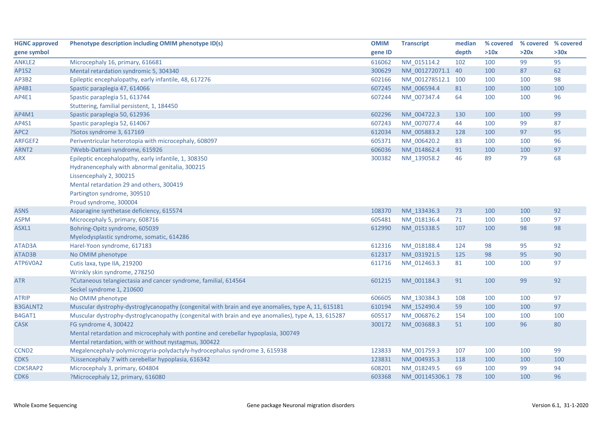| <b>HGNC approved</b> | Phenotype description including OMIM phenotype ID(s)                                                | <b>OMIM</b> | <b>Transcript</b>  | median | % covered | % covered % covered |      |
|----------------------|-----------------------------------------------------------------------------------------------------|-------------|--------------------|--------|-----------|---------------------|------|
| gene symbol          |                                                                                                     | gene ID     |                    | depth  | >10x      | >20x                | >30x |
| ANKLE2               | Microcephaly 16, primary, 616681                                                                    | 616062      | NM_015114.2        | 102    | 100       | 99                  | 95   |
| AP1S2                | Mental retardation syndromic 5, 304340                                                              | 300629      | NM 001272071.1 40  |        | 100       | 87                  | 62   |
| AP3B2                | Epileptic encephalopathy, early infantile, 48, 617276                                               | 602166      | NM_001278512.1 100 |        | 100       | 100                 | 98   |
| AP4B1                | Spastic paraplegia 47, 614066                                                                       | 607245      | NM 006594.4        | 81     | 100       | 100                 | 100  |
| AP4E1                | Spastic paraplegia 51, 613744                                                                       | 607244      | NM 007347.4        | 64     | 100       | 100                 | 96   |
|                      | Stuttering, familial persistent, 1, 184450                                                          |             |                    |        |           |                     |      |
| AP4M1                | Spastic paraplegia 50, 612936                                                                       | 602296      | NM 004722.3        | 130    | 100       | 100                 | 99   |
| AP4S1                | Spastic paraplegia 52, 614067                                                                       | 607243      | NM 007077.4        | 44     | 100       | 99                  | 87   |
| APC <sub>2</sub>     | ?Sotos syndrome 3, 617169                                                                           | 612034      | NM_005883.2        | 128    | 100       | 97                  | 95   |
| ARFGEF2              | Periventricular heterotopia with microcephaly, 608097                                               | 605371      | NM_006420.2        | 83     | 100       | 100                 | 96   |
| ARNT <sub>2</sub>    | ?Webb-Dattani syndrome, 615926                                                                      | 606036      | NM_014862.4        | 91     | 100       | 100                 | 97   |
| ARX                  | Epileptic encephalopathy, early infantile, 1, 308350                                                | 300382      | NM_139058.2        | 46     | 89        | 79                  | 68   |
|                      | Hydranencephaly with abnormal genitalia, 300215                                                     |             |                    |        |           |                     |      |
|                      | Lissencephaly 2, 300215                                                                             |             |                    |        |           |                     |      |
|                      | Mental retardation 29 and others, 300419                                                            |             |                    |        |           |                     |      |
|                      | Partington syndrome, 309510                                                                         |             |                    |        |           |                     |      |
|                      | Proud syndrome, 300004                                                                              |             |                    |        |           |                     |      |
| <b>ASNS</b>          | Asparagine synthetase deficiency, 615574                                                            | 108370      | NM 133436.3        | 73     | 100       | 100                 | 92   |
| <b>ASPM</b>          | Microcephaly 5, primary, 608716                                                                     | 605481      | NM 018136.4        | 71     | 100       | 100                 | 97   |
| ASXL1                | Bohring-Opitz syndrome, 605039                                                                      | 612990      | NM_015338.5        | 107    | 100       | 98                  | 98   |
|                      | Myelodysplastic syndrome, somatic, 614286                                                           |             |                    |        |           |                     |      |
| ATAD3A               | Harel-Yoon syndrome, 617183                                                                         | 612316      | NM_018188.4        | 124    | 98        | 95                  | 92   |
| ATAD3B               | No OMIM phenotype                                                                                   | 612317      | NM 031921.5        | 125    | 98        | 95                  | 90   |
| ATP6V0A2             | Cutis laxa, type IIA, 219200                                                                        | 611716      | NM 012463.3        | 81     | 100       | 100                 | 97   |
|                      | Wrinkly skin syndrome, 278250                                                                       |             |                    |        |           |                     |      |
| <b>ATR</b>           | ?Cutaneous telangiectasia and cancer syndrome, familial, 614564                                     | 601215      | NM_001184.3        | 91     | 100       | 99                  | 92   |
|                      | Seckel syndrome 1, 210600                                                                           |             |                    |        |           |                     |      |
| <b>ATRIP</b>         | No OMIM phenotype                                                                                   | 606605      | NM_130384.3        | 108    | 100       | 100                 | 97   |
| <b>B3GALNT2</b>      | Muscular dystrophy-dystroglycanopathy (congenital with brain and eye anomalies, type A, 11, 615181  | 610194      | NM_152490.4        | 59     | 100       | 100                 | 97   |
| B4GAT1               | Muscular dystrophy-dystroglycanopathy (congenital with brain and eye anomalies), type A, 13, 615287 | 605517      | NM_006876.2        | 154    | 100       | 100                 | 100  |
| <b>CASK</b>          | FG syndrome 4, 300422                                                                               | 300172      | NM_003688.3        | 51     | 100       | 96                  | 80   |
|                      | Mental retardation and microcephaly with pontine and cerebellar hypoplasia, 300749                  |             |                    |        |           |                     |      |
|                      | Mental retardation, with or without nystagmus, 300422                                               |             |                    |        |           |                     |      |
| CCND <sub>2</sub>    | Megalencephaly-polymicrogyria-polydactyly-hydrocephalus syndrome 3, 615938                          | 123833      | NM_001759.3        | 107    | 100       | 100                 | 99   |
| CDK5                 | ?Lissencephaly 7 with cerebellar hypoplasia, 616342                                                 | 123831      | NM 004935.3        | 118    | 100       | 100                 | 100  |
| CDK5RAP2             | Microcephaly 3, primary, 604804                                                                     | 608201      | NM 018249.5        | 69     | 100       | 99                  | 94   |
| CDK <sub>6</sub>     | ?Microcephaly 12, primary, 616080                                                                   | 603368      | NM 001145306.1 78  |        | 100       | 100                 | 96   |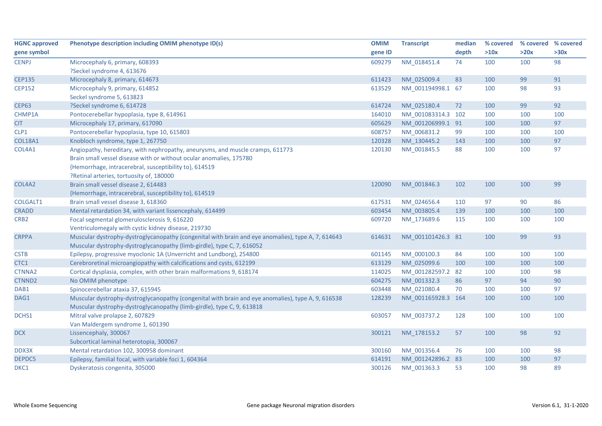| <b>HGNC approved</b> | Phenotype description including OMIM phenotype ID(s)                                               | <b>OMIM</b> | <b>Transcript</b>  | median | % covered | % covered % covered |      |
|----------------------|----------------------------------------------------------------------------------------------------|-------------|--------------------|--------|-----------|---------------------|------|
| gene symbol          |                                                                                                    | gene ID     |                    | depth  | >10x      | >20x                | >30x |
| <b>CENPJ</b>         | Microcephaly 6, primary, 608393                                                                    | 609279      | NM 018451.4        | 74     | 100       | 100                 | 98   |
|                      | ?Seckel syndrome 4, 613676                                                                         |             |                    |        |           |                     |      |
| <b>CEP135</b>        | Microcephaly 8, primary, 614673                                                                    | 611423      | NM 025009.4        | 83     | 100       | 99                  | 91   |
| <b>CEP152</b>        | Microcephaly 9, primary, 614852                                                                    | 613529      | NM_001194998.1 67  |        | 100       | 98                  | 93   |
|                      | Seckel syndrome 5, 613823                                                                          |             |                    |        |           |                     |      |
| <b>CEP63</b>         | ?Seckel syndrome 6, 614728                                                                         | 614724      | NM 025180.4        | 72     | 100       | 99                  | 92   |
| CHMP1A               | Pontocerebellar hypoplasia, type 8, 614961                                                         | 164010      | NM 001083314.3 102 |        | 100       | 100                 | 100  |
| <b>CIT</b>           | Microcephaly 17, primary, 617090                                                                   | 605629      | NM 001206999.1 91  |        | 100       | 100                 | 97   |
| CLP1                 | Pontocerebellar hypoplasia, type 10, 615803                                                        | 608757      | NM_006831.2        | 99     | 100       | 100                 | 100  |
| <b>COL18A1</b>       | Knobloch syndrome, type 1, 267750                                                                  | 120328      | NM_130445.2        | 143    | 100       | 100                 | 97   |
| COL4A1               | Angiopathy, hereditary, with nephropathy, aneurysms, and muscle cramps, 611773                     | 120130      | NM 001845.5        | 88     | 100       | 100                 | 97   |
|                      | Brain small vessel disease with or without ocular anomalies, 175780                                |             |                    |        |           |                     |      |
|                      | {Hemorrhage, intracerebral, susceptibility to}, 614519                                             |             |                    |        |           |                     |      |
|                      | ?Retinal arteries, tortuosity of, 180000                                                           |             |                    |        |           |                     |      |
| COL4A2               | Brain small vessel disease 2, 614483                                                               | 120090      | NM_001846.3        | 102    | 100       | 100                 | 99   |
|                      | {Hemorrhage, intracerebral, susceptibility to}, 614519                                             |             |                    |        |           |                     |      |
| COLGALT1             | Brain small vessel disease 3, 618360                                                               | 617531      | NM 024656.4        | 110    | 97        | 90                  | 86   |
| <b>CRADD</b>         | Mental retardation 34, with variant lissencephaly, 614499                                          | 603454      | NM 003805.4        | 139    | 100       | 100                 | 100  |
| CRB <sub>2</sub>     | Focal segmental glomerulosclerosis 9, 616220                                                       | 609720      | NM 173689.6        | 115    | 100       | 100                 | 100  |
|                      | Ventriculomegaly with cystic kidney disease, 219730                                                |             |                    |        |           |                     |      |
| <b>CRPPA</b>         | Muscular dystrophy-dystroglycanopathy (congenital with brain and eye anomalies), type A, 7, 614643 | 614631      | NM_001101426.3 81  |        | 100       | 99                  | 93   |
|                      | Muscular dystrophy-dystroglycanopathy (limb-girdle), type C, 7, 616052                             |             |                    |        |           |                     |      |
| <b>CSTB</b>          | Epilepsy, progressive myoclonic 1A (Unverricht and Lundborg), 254800                               | 601145      | NM_000100.3        | 84     | 100       | 100                 | 100  |
| CTC1                 | Cerebroretinal microangiopathy with calcifications and cysts, 612199                               | 613129      | NM 025099.6        | 100    | 100       | 100                 | 100  |
| CTNNA2               | Cortical dysplasia, complex, with other brain malformations 9, 618174                              | 114025      | NM 001282597.2 82  |        | 100       | 100                 | 98   |
| CTNND2               | No OMIM phenotype                                                                                  | 604275      | NM_001332.3        | 86     | 97        | 94                  | 90   |
| DAB1                 | Spinocerebellar ataxia 37, 615945                                                                  | 603448      | NM_021080.4        | 70     | 100       | 100                 | 97   |
| DAG1                 | Muscular dystrophy-dystroglycanopathy (congenital with brain and eye anomalies), type A, 9, 616538 | 128239      | NM 001165928.3 164 |        | 100       | 100                 | 100  |
|                      | Muscular dystrophy-dystroglycanopathy (limb-girdle), type C, 9, 613818                             |             |                    |        |           |                     |      |
| DCHS1                | Mitral valve prolapse 2, 607829                                                                    | 603057      | NM_003737.2        | 128    | 100       | 100                 | 100  |
|                      | Van Maldergem syndrome 1, 601390                                                                   |             |                    |        |           |                     |      |
| <b>DCX</b>           | Lissencephaly, 300067                                                                              | 300121      | NM_178153.2        | 57     | 100       | 98                  | 92   |
|                      | Subcortical laminal heterotopia, 300067                                                            |             |                    |        |           |                     |      |
| DDX3X                | Mental retardation 102, 300958 dominant                                                            | 300160      | NM_001356.4        | 76     | 100       | 100                 | 98   |
| DEPDC5               | Epilepsy, familial focal, with variable foci 1, 604364                                             | 614191      | NM 001242896.2 83  |        | 100       | 100                 | 97   |
| DKC1                 | Dyskeratosis congenita, 305000                                                                     | 300126      | NM 001363.3        | 53     | 100       | 98                  | 89   |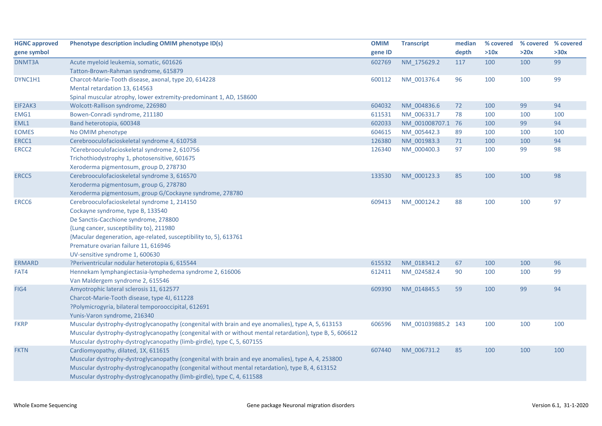| <b>HGNC approved</b> | Phenotype description including OMIM phenotype ID(s)                                                     | <b>OMIM</b> | <b>Transcript</b>  | median | % covered | % covered % covered |      |
|----------------------|----------------------------------------------------------------------------------------------------------|-------------|--------------------|--------|-----------|---------------------|------|
| gene symbol          |                                                                                                          | gene ID     |                    | depth  | >10x      | >20x                | >30x |
| DNMT3A               | Acute myeloid leukemia, somatic, 601626                                                                  | 602769      | NM 175629.2        | 117    | 100       | 100                 | 99   |
|                      | Tatton-Brown-Rahman syndrome, 615879                                                                     |             |                    |        |           |                     |      |
| DYNC1H1              | Charcot-Marie-Tooth disease, axonal, type 20, 614228                                                     | 600112      | NM_001376.4        | 96     | 100       | 100                 | 99   |
|                      | Mental retardation 13, 614563                                                                            |             |                    |        |           |                     |      |
|                      | Spinal muscular atrophy, lower extremity-predominant 1, AD, 158600                                       |             |                    |        |           |                     |      |
| EIF2AK3              | Wolcott-Rallison syndrome, 226980                                                                        | 604032      | NM 004836.6        | 72     | 100       | 99                  | 94   |
| EMG1                 | Bowen-Conradi syndrome, 211180                                                                           | 611531      | NM 006331.7        | 78     | 100       | 100                 | 100  |
| EML1                 | Band heterotopia, 600348                                                                                 | 602033      | NM 001008707.1 76  |        | 100       | 99                  | 94   |
| <b>EOMES</b>         | No OMIM phenotype                                                                                        | 604615      | NM 005442.3        | 89     | 100       | 100                 | 100  |
| ERCC1                | Cerebrooculofacioskeletal syndrome 4, 610758                                                             | 126380      | NM_001983.3        | $71$   | 100       | 100                 | 94   |
| ERCC <sub>2</sub>    | ?Cerebrooculofacioskeletal syndrome 2, 610756                                                            | 126340      | NM_000400.3        | 97     | 100       | 99                  | 98   |
|                      | Trichothiodystrophy 1, photosensitive, 601675                                                            |             |                    |        |           |                     |      |
|                      | Xeroderma pigmentosum, group D, 278730                                                                   |             |                    |        |           |                     |      |
| ERCC <sub>5</sub>    | Cerebrooculofacioskeletal syndrome 3, 616570                                                             | 133530      | NM_000123.3        | 85     | 100       | 100                 | 98   |
|                      | Xeroderma pigmentosum, group G, 278780                                                                   |             |                    |        |           |                     |      |
|                      | Xeroderma pigmentosum, group G/Cockayne syndrome, 278780                                                 |             |                    |        |           |                     |      |
| ERCC6                | Cerebrooculofacioskeletal syndrome 1, 214150                                                             | 609413      | NM 000124.2        | 88     | 100       | 100                 | 97   |
|                      | Cockayne syndrome, type B, 133540                                                                        |             |                    |        |           |                     |      |
|                      | De Sanctis-Cacchione syndrome, 278800                                                                    |             |                    |        |           |                     |      |
|                      | {Lung cancer, susceptibility to}, 211980                                                                 |             |                    |        |           |                     |      |
|                      | {Macular degeneration, age-related, susceptibility to, 5}, 613761                                        |             |                    |        |           |                     |      |
|                      | Premature ovarian failure 11, 616946                                                                     |             |                    |        |           |                     |      |
|                      | UV-sensitive syndrome 1, 600630                                                                          |             |                    |        |           |                     |      |
| <b>ERMARD</b>        | ?Periventricular nodular heterotopia 6, 615544                                                           | 615532      | NM 018341.2        | 67     | 100       | 100                 | 96   |
| FAT4                 | Hennekam lymphangiectasia-lymphedema syndrome 2, 616006                                                  | 612411      | NM 024582.4        | 90     | 100       | 100                 | 99   |
|                      | Van Maldergem syndrome 2, 615546                                                                         |             |                    |        |           |                     |      |
| FIG4                 | Amyotrophic lateral sclerosis 11, 612577                                                                 | 609390      | NM_014845.5        | 59     | 100       | 99                  | 94   |
|                      | Charcot-Marie-Tooth disease, type 4J, 611228                                                             |             |                    |        |           |                     |      |
|                      | ?Polymicrogyria, bilateral temporooccipital, 612691                                                      |             |                    |        |           |                     |      |
|                      | Yunis-Varon syndrome, 216340                                                                             |             |                    |        |           |                     |      |
| <b>FKRP</b>          | Muscular dystrophy-dystroglycanopathy (congenital with brain and eye anomalies), type A, 5, 613153       | 606596      | NM_001039885.2 143 |        | 100       | 100                 | 100  |
|                      | Muscular dystrophy-dystroglycanopathy (congenital with or without mental retardation), type B, 5, 606612 |             |                    |        |           |                     |      |
|                      | Muscular dystrophy-dystroglycanopathy (limb-girdle), type C, 5, 607155                                   |             |                    |        |           |                     |      |
| <b>FKTN</b>          | Cardiomyopathy, dilated, 1X, 611615                                                                      | 607440      | NM_006731.2        | 85     | 100       | 100                 | 100  |
|                      | Muscular dystrophy-dystroglycanopathy (congenital with brain and eye anomalies), type A, 4, 253800       |             |                    |        |           |                     |      |
|                      | Muscular dystrophy-dystroglycanopathy (congenital without mental retardation), type B, 4, 613152         |             |                    |        |           |                     |      |
|                      | Muscular dystrophy-dystroglycanopathy (limb-girdle), type C, 4, 611588                                   |             |                    |        |           |                     |      |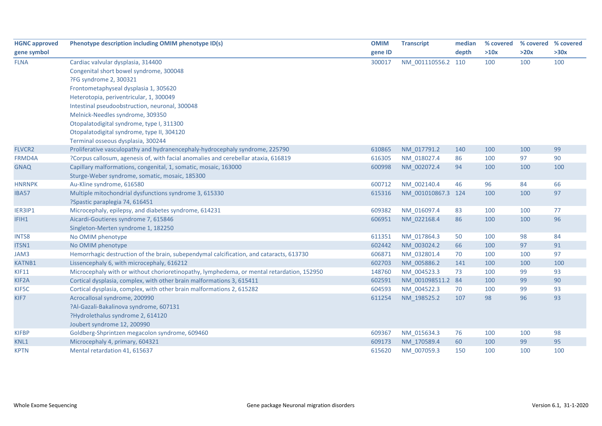| <b>HGNC approved</b> | Phenotype description including OMIM phenotype ID(s)                                      | <b>OMIM</b> | <b>Transcript</b>  | median | % covered | % covered | % covered |
|----------------------|-------------------------------------------------------------------------------------------|-------------|--------------------|--------|-----------|-----------|-----------|
| gene symbol          |                                                                                           | gene ID     |                    | depth  | >10x      | >20x      | >30x      |
| <b>FLNA</b>          | Cardiac valvular dysplasia, 314400                                                        | 300017      | NM_001110556.2     | 110    | 100       | 100       | 100       |
|                      | Congenital short bowel syndrome, 300048                                                   |             |                    |        |           |           |           |
|                      | ?FG syndrome 2, 300321                                                                    |             |                    |        |           |           |           |
|                      | Frontometaphyseal dysplasia 1, 305620                                                     |             |                    |        |           |           |           |
|                      | Heterotopia, periventricular, 1, 300049                                                   |             |                    |        |           |           |           |
|                      | Intestinal pseudoobstruction, neuronal, 300048                                            |             |                    |        |           |           |           |
|                      | Melnick-Needles syndrome, 309350                                                          |             |                    |        |           |           |           |
|                      | Otopalatodigital syndrome, type I, 311300                                                 |             |                    |        |           |           |           |
|                      | Otopalatodigital syndrome, type II, 304120                                                |             |                    |        |           |           |           |
|                      | Terminal osseous dysplasia, 300244                                                        |             |                    |        |           |           |           |
| FLVCR2               | Proliferative vasculopathy and hydranencephaly-hydrocephaly syndrome, 225790              | 610865      | NM 017791.2        | 140    | 100       | 100       | 99        |
| FRMD4A               | ?Corpus callosum, agenesis of, with facial anomalies and cerebellar ataxia, 616819        | 616305      | NM_018027.4        | 86     | 100       | 97        | 90        |
| <b>GNAQ</b>          | Capillary malformations, congenital, 1, somatic, mosaic, 163000                           | 600998      | NM 002072.4        | 94     | 100       | 100       | 100       |
|                      | Sturge-Weber syndrome, somatic, mosaic, 185300                                            |             |                    |        |           |           |           |
| <b>HNRNPK</b>        | Au-Kline syndrome, 616580                                                                 | 600712      | NM_002140.4        | 46     | 96        | 84        | 66        |
| IBA57                | Multiple mitochondrial dysfunctions syndrome 3, 615330                                    | 615316      | NM_001010867.3 124 |        | 100       | 100       | 97        |
|                      | ?Spastic paraplegia 74, 616451                                                            |             |                    |        |           |           |           |
| IER3IP1              | Microcephaly, epilepsy, and diabetes syndrome, 614231                                     | 609382      | NM 016097.4        | 83     | 100       | 100       | 77        |
| IFIH1                | Aicardi-Goutieres syndrome 7, 615846                                                      | 606951      | NM_022168.4        | 86     | 100       | 100       | 96        |
|                      | Singleton-Merten syndrome 1, 182250                                                       |             |                    |        |           |           |           |
| <b>INTS8</b>         | No OMIM phenotype                                                                         | 611351      | NM 017864.3        | 50     | 100       | 98        | 84        |
| ITSN1                | No OMIM phenotype                                                                         | 602442      | NM_003024.2        | 66     | 100       | 97        | 91        |
| JAM3                 | Hemorrhagic destruction of the brain, subependymal calcification, and cataracts, 613730   | 606871      | NM_032801.4        | 70     | 100       | 100       | 97        |
| KATNB1               | Lissencephaly 6, with microcephaly, 616212                                                | 602703      | NM_005886.2        | 141    | 100       | 100       | 100       |
| <b>KIF11</b>         | Microcephaly with or without chorioretinopathy, lymphedema, or mental retardation, 152950 | 148760      | NM_004523.3        | 73     | 100       | 99        | 93        |
| KIF2A                | Cortical dysplasia, complex, with other brain malformations 3, 615411                     | 602591      | NM 001098511.2 84  |        | 100       | 99        | 90        |
| KIF5C                | Cortical dysplasia, complex, with other brain malformations 2, 615282                     | 604593      | NM 004522.3        | 70     | 100       | 99        | 93        |
| KIF7                 | Acrocallosal syndrome, 200990                                                             | 611254      | NM 198525.2        | 107    | 98        | 96        | 93        |
|                      | ?Al-Gazali-Bakalinova syndrome, 607131                                                    |             |                    |        |           |           |           |
|                      | ?Hydrolethalus syndrome 2, 614120                                                         |             |                    |        |           |           |           |
|                      | Joubert syndrome 12, 200990                                                               |             |                    |        |           |           |           |
| <b>KIFBP</b>         | Goldberg-Shprintzen megacolon syndrome, 609460                                            | 609367      | NM_015634.3        | 76     | 100       | 100       | 98        |
| KNL1                 | Microcephaly 4, primary, 604321                                                           | 609173      | NM 170589.4        | 60     | 100       | 99        | 95        |
| <b>KPTN</b>          | Mental retardation 41, 615637                                                             | 615620      | NM 007059.3        | 150    | 100       | 100       | 100       |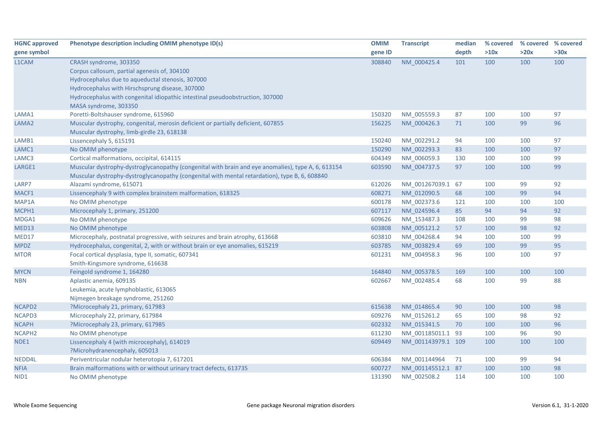| <b>HGNC approved</b> | Phenotype description including OMIM phenotype ID(s)                                               | <b>OMIM</b> | <b>Transcript</b>  | median | % covered | % covered % covered |      |
|----------------------|----------------------------------------------------------------------------------------------------|-------------|--------------------|--------|-----------|---------------------|------|
| gene symbol          |                                                                                                    | gene ID     |                    | depth  | >10x      | >20x                | >30x |
| L1CAM                | CRASH syndrome, 303350                                                                             | 308840      | NM 000425.4        | 101    | 100       | 100                 | 100  |
|                      | Corpus callosum, partial agenesis of, 304100                                                       |             |                    |        |           |                     |      |
|                      | Hydrocephalus due to aqueductal stenosis, 307000                                                   |             |                    |        |           |                     |      |
|                      | Hydrocephalus with Hirschsprung disease, 307000                                                    |             |                    |        |           |                     |      |
|                      | Hydrocephalus with congenital idiopathic intestinal pseudoobstruction, 307000                      |             |                    |        |           |                     |      |
|                      | MASA syndrome, 303350                                                                              |             |                    |        |           |                     |      |
| LAMA1                | Poretti-Boltshauser syndrome, 615960                                                               | 150320      | NM_005559.3        | 87     | 100       | 100                 | 97   |
| LAMA <sub>2</sub>    | Muscular dystrophy, congenital, merosin deficient or partially deficient, 607855                   | 156225      | NM 000426.3        | 71     | 100       | 99                  | 96   |
|                      | Muscular dystrophy, limb-girdle 23, 618138                                                         |             |                    |        |           |                     |      |
| LAMB1                | Lissencephaly 5, 615191                                                                            | 150240      | NM_002291.2        | 94     | 100       | 100                 | 97   |
| LAMC1                | No OMIM phenotype                                                                                  | 150290      | NM 002293.3        | 83     | 100       | 100                 | 97   |
| LAMC3                | Cortical malformations, occipital, 614115                                                          | 604349      | NM_006059.3        | 130    | 100       | 100                 | 99   |
| LARGE1               | Muscular dystrophy-dystroglycanopathy (congenital with brain and eye anomalies), type A, 6, 613154 | 603590      | NM 004737.5        | 97     | 100       | 100                 | 99   |
|                      | Muscular dystrophy-dystroglycanopathy (congenital with mental retardation), type B, 6, 608840      |             |                    |        |           |                     |      |
| LARP7                | Alazami syndrome, 615071                                                                           | 612026      | NM 001267039.1 67  |        | 100       | 99                  | 92   |
| MACF1                | Lissencephaly 9 with complex brainstem malformation, 618325                                        | 608271      | NM 012090.5        | 68     | 100       | 99                  | 94   |
| MAP1A                | No OMIM phenotype                                                                                  | 600178      | NM 002373.6        | 121    | 100       | 100                 | 100  |
| MCPH1                | Microcephaly 1, primary, 251200                                                                    | 607117      | NM_024596.4        | 85     | 94        | 94                  | 92   |
| MDGA1                | No OMIM phenotype                                                                                  | 609626      | NM_153487.3        | 108    | 100       | 99                  | 98   |
| MED13                | No OMIM phenotype                                                                                  | 603808      | NM_005121.2        | 57     | 100       | 98                  | 92   |
| MED17                | Microcephaly, postnatal progressive, with seizures and brain atrophy, 613668                       | 603810      | NM_004268.4        | 94     | 100       | 100                 | 99   |
| <b>MPDZ</b>          | Hydrocephalus, congenital, 2, with or without brain or eye anomalies, 615219                       | 603785      | NM_003829.4        | 69     | 100       | 99                  | 95   |
| <b>MTOR</b>          | Focal cortical dysplasia, type II, somatic, 607341                                                 | 601231      | NM_004958.3        | 96     | 100       | 100                 | 97   |
|                      | Smith-Kingsmore syndrome, 616638                                                                   |             |                    |        |           |                     |      |
| <b>MYCN</b>          | Feingold syndrome 1, 164280                                                                        | 164840      | NM_005378.5        | 169    | 100       | 100                 | 100  |
| <b>NBN</b>           | Aplastic anemia, 609135                                                                            | 602667      | NM_002485.4        | 68     | 100       | 99                  | 88   |
|                      | Leukemia, acute lymphoblastic, 613065                                                              |             |                    |        |           |                     |      |
|                      | Nijmegen breakage syndrome, 251260                                                                 |             |                    |        |           |                     |      |
| NCAPD2               | ?Microcephaly 21, primary, 617983                                                                  | 615638      | NM 014865.4        | 90     | 100       | 100                 | 98   |
| NCAPD3               | Microcephaly 22, primary, 617984                                                                   | 609276      | NM_015261.2        | 65     | 100       | 98                  | 92   |
| <b>NCAPH</b>         | ?Microcephaly 23, primary, 617985                                                                  | 602332      | NM_015341.5        | 70     | 100       | 100                 | 96   |
| NCAPH <sub>2</sub>   | No OMIM phenotype                                                                                  | 611230      | NM_001185011.1 93  |        | 100       | 96                  | 90   |
| NDE1                 | Lissencephaly 4 (with microcephaly), 614019                                                        | 609449      | NM 001143979.1 109 |        | 100       | 100                 | 100  |
|                      | ?Microhydranencephaly, 605013                                                                      |             |                    |        |           |                     |      |
| NEDD4L               | Periventricular nodular heterotopia 7, 617201                                                      | 606384      | NM_001144964       | 71     | 100       | 99                  | 94   |
| <b>NFIA</b>          | Brain malformations with or without urinary tract defects, 613735                                  | 600727      | NM 001145512.1 87  |        | 100       | 100                 | 98   |
| NID1                 | No OMIM phenotype                                                                                  | 131390      | NM 002508.2        | 114    | 100       | 100                 | 100  |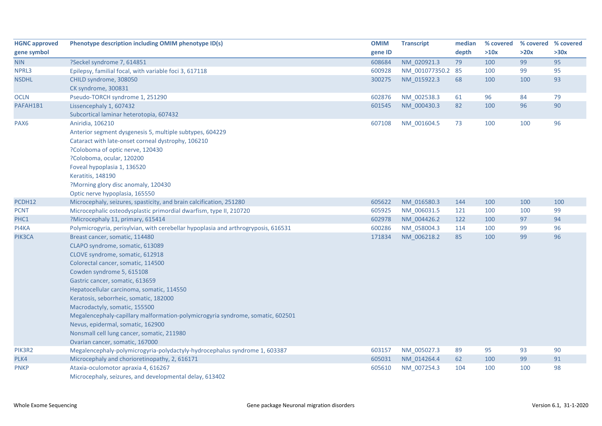| <b>HGNC approved</b> | Phenotype description including OMIM phenotype ID(s)                               | <b>OMIM</b> | <b>Transcript</b> | median | % covered |      | % covered % covered |
|----------------------|------------------------------------------------------------------------------------|-------------|-------------------|--------|-----------|------|---------------------|
| gene symbol          |                                                                                    | gene ID     |                   | depth  | >10x      | >20x | >30x                |
| <b>NIN</b>           | ?Seckel syndrome 7, 614851                                                         | 608684      | NM 020921.3       | 79     | 100       | 99   | 95                  |
| NPRL3                | Epilepsy, familial focal, with variable foci 3, 617118                             | 600928      | NM_001077350.2 85 |        | 100       | 99   | 95                  |
| <b>NSDHL</b>         | CHILD syndrome, 308050                                                             | 300275      | NM 015922.3       | 68     | 100       | 100  | 93                  |
|                      | CK syndrome, 300831                                                                |             |                   |        |           |      |                     |
| <b>OCLN</b>          | Pseudo-TORCH syndrome 1, 251290                                                    | 602876      | NM_002538.3       | 61     | 96        | 84   | 79                  |
| PAFAH1B1             | Lissencephaly 1, 607432                                                            | 601545      | NM_000430.3       | 82     | 100       | 96   | 90                  |
|                      | Subcortical laminar heterotopia, 607432                                            |             |                   |        |           |      |                     |
| PAX6                 | Aniridia, 106210                                                                   | 607108      | NM_001604.5       | 73     | 100       | 100  | 96                  |
|                      | Anterior segment dysgenesis 5, multiple subtypes, 604229                           |             |                   |        |           |      |                     |
|                      | Cataract with late-onset corneal dystrophy, 106210                                 |             |                   |        |           |      |                     |
|                      | ?Coloboma of optic nerve, 120430                                                   |             |                   |        |           |      |                     |
|                      | ?Coloboma, ocular, 120200                                                          |             |                   |        |           |      |                     |
|                      | Foveal hypoplasia 1, 136520                                                        |             |                   |        |           |      |                     |
|                      | Keratitis, 148190                                                                  |             |                   |        |           |      |                     |
|                      | ?Morning glory disc anomaly, 120430                                                |             |                   |        |           |      |                     |
|                      | Optic nerve hypoplasia, 165550                                                     |             |                   |        |           |      |                     |
| PCDH12               | Microcephaly, seizures, spasticity, and brain calcification, 251280                | 605622      | NM_016580.3       | 144    | 100       | 100  | 100                 |
| <b>PCNT</b>          | Microcephalic osteodysplastic primordial dwarfism, type II, 210720                 | 605925      | NM_006031.5       | 121    | 100       | 100  | 99                  |
| PHC1                 | ?Microcephaly 11, primary, 615414                                                  | 602978      | NM 004426.2       | 122    | 100       | 97   | 94                  |
| PI4KA                | Polymicrogyria, perisylvian, with cerebellar hypoplasia and arthrogryposis, 616531 | 600286      | NM_058004.3       | 114    | 100       | 99   | 96                  |
| PIK3CA               | Breast cancer, somatic, 114480                                                     | 171834      | NM 006218.2       | 85     | 100       | 99   | 96                  |
|                      | CLAPO syndrome, somatic, 613089                                                    |             |                   |        |           |      |                     |
|                      | CLOVE syndrome, somatic, 612918                                                    |             |                   |        |           |      |                     |
|                      | Colorectal cancer, somatic, 114500                                                 |             |                   |        |           |      |                     |
|                      | Cowden syndrome 5, 615108                                                          |             |                   |        |           |      |                     |
|                      | Gastric cancer, somatic, 613659                                                    |             |                   |        |           |      |                     |
|                      | Hepatocellular carcinoma, somatic, 114550                                          |             |                   |        |           |      |                     |
|                      | Keratosis, seborrheic, somatic, 182000                                             |             |                   |        |           |      |                     |
|                      | Macrodactyly, somatic, 155500                                                      |             |                   |        |           |      |                     |
|                      | Megalencephaly-capillary malformation-polymicrogyria syndrome, somatic, 602501     |             |                   |        |           |      |                     |
|                      | Nevus, epidermal, somatic, 162900                                                  |             |                   |        |           |      |                     |
|                      | Nonsmall cell lung cancer, somatic, 211980                                         |             |                   |        |           |      |                     |
|                      | Ovarian cancer, somatic, 167000                                                    |             |                   |        |           |      |                     |
| PIK3R2               | Megalencephaly-polymicrogyria-polydactyly-hydrocephalus syndrome 1, 603387         | 603157      | NM_005027.3       | 89     | 95        | 93   | 90                  |
| PLK4                 | Microcephaly and chorioretinopathy, 2, 616171                                      | 605031      | NM_014264.4       | 62     | 100       | 99   | 91                  |
| <b>PNKP</b>          | Ataxia-oculomotor apraxia 4, 616267                                                | 605610      | NM_007254.3       | 104    | 100       | 100  | 98                  |
|                      | Microcephaly, seizures, and developmental delay, 613402                            |             |                   |        |           |      |                     |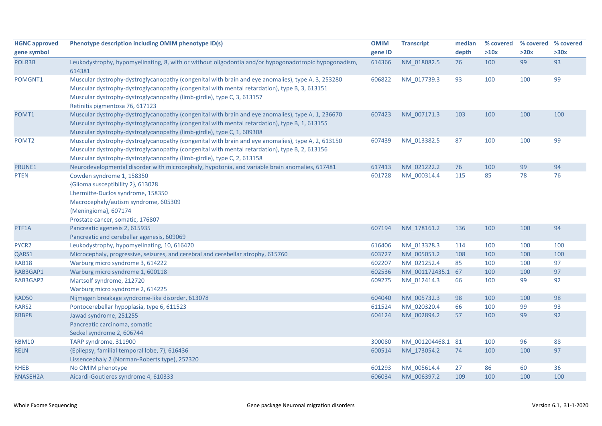| <b>HGNC approved</b><br>gene symbol | Phenotype description including OMIM phenotype ID(s)                                                                                                                                                                                                                                                             | <b>OMIM</b><br>gene ID | <b>Transcript</b> | median<br>depth | % covered<br>>10x | >20x | % covered % covered<br>>30x |
|-------------------------------------|------------------------------------------------------------------------------------------------------------------------------------------------------------------------------------------------------------------------------------------------------------------------------------------------------------------|------------------------|-------------------|-----------------|-------------------|------|-----------------------------|
| POLR3B                              | Leukodystrophy, hypomyelinating, 8, with or without oligodontia and/or hypogonadotropic hypogonadism,<br>614381                                                                                                                                                                                                  | 614366                 | NM_018082.5       | 76              | 100               | 99   | 93                          |
| POMGNT1                             | Muscular dystrophy-dystroglycanopathy (congenital with brain and eye anomalies), type A, 3, 253280<br>Muscular dystrophy-dystroglycanopathy (congenital with mental retardation), type B, 3, 613151<br>Muscular dystrophy-dystroglycanopathy (limb-girdle), type C, 3, 613157<br>Retinitis pigmentosa 76, 617123 | 606822                 | NM_017739.3       | 93              | 100               | 100  | 99                          |
| POMT1                               | Muscular dystrophy-dystroglycanopathy (congenital with brain and eye anomalies), type A, 1, 236670<br>Muscular dystrophy-dystroglycanopathy (congenital with mental retardation), type B, 1, 613155<br>Muscular dystrophy-dystroglycanopathy (limb-girdle), type C, 1, 609308                                    | 607423                 | NM_007171.3       | 103             | 100               | 100  | 100                         |
| POMT <sub>2</sub>                   | Muscular dystrophy-dystroglycanopathy (congenital with brain and eye anomalies), type A, 2, 613150<br>Muscular dystrophy-dystroglycanopathy (congenital with mental retardation), type B, 2, 613156<br>Muscular dystrophy-dystroglycanopathy (limb-girdle), type C, 2, 613158                                    | 607439                 | NM_013382.5       | 87              | 100               | 100  | 99                          |
| PRUNE1                              | Neurodevelopmental disorder with microcephaly, hypotonia, and variable brain anomalies, 617481                                                                                                                                                                                                                   | 617413                 | NM_021222.2       | 76              | 100               | 99   | 94                          |
| <b>PTEN</b>                         | Cowden syndrome 1, 158350<br>{Glioma susceptibility 2}, 613028<br>Lhermitte-Duclos syndrome, 158350<br>Macrocephaly/autism syndrome, 605309<br>{Meningioma}, 607174<br>Prostate cancer, somatic, 176807                                                                                                          | 601728                 | NM_000314.4       | 115             | 85                | 78   | 76                          |
| PTF1A                               | Pancreatic agenesis 2, 615935<br>Pancreatic and cerebellar agenesis, 609069                                                                                                                                                                                                                                      | 607194                 | NM_178161.2       | 136             | 100               | 100  | 94                          |
| PYCR2                               | Leukodystrophy, hypomyelinating, 10, 616420                                                                                                                                                                                                                                                                      | 616406                 | NM_013328.3       | 114             | 100               | 100  | 100                         |
| QARS1                               | Microcephaly, progressive, seizures, and cerebral and cerebellar atrophy, 615760                                                                                                                                                                                                                                 | 603727                 | NM 005051.2       | 108             | 100               | 100  | 100                         |
| <b>RAB18</b>                        | Warburg micro syndrome 3, 614222                                                                                                                                                                                                                                                                                 | 602207                 | NM 021252.4       | 85              | 100               | 100  | 97                          |
| RAB3GAP1                            | Warburg micro syndrome 1, 600118                                                                                                                                                                                                                                                                                 | 602536                 | NM_001172435.1 67 |                 | 100               | 100  | 97                          |
| RAB3GAP2                            | Martsolf syndrome, 212720<br>Warburg micro syndrome 2, 614225                                                                                                                                                                                                                                                    | 609275                 | NM_012414.3       | 66              | 100               | 99   | 92                          |
| <b>RAD50</b>                        | Nijmegen breakage syndrome-like disorder, 613078                                                                                                                                                                                                                                                                 | 604040                 | NM 005732.3       | 98              | 100               | 100  | 98                          |
| RARS2                               | Pontocerebellar hypoplasia, type 6, 611523                                                                                                                                                                                                                                                                       | 611524                 | NM_020320.4       | 66              | 100               | 99   | 93                          |
| RBBP8                               | Jawad syndrome, 251255<br>Pancreatic carcinoma, somatic<br>Seckel syndrome 2, 606744                                                                                                                                                                                                                             | 604124                 | NM_002894.2       | 57              | 100               | 99   | 92                          |
| <b>RBM10</b>                        | TARP syndrome, 311900                                                                                                                                                                                                                                                                                            | 300080                 | NM_001204468.1 81 |                 | 100               | 96   | 88                          |
| <b>RELN</b>                         | {Epilepsy, familial temporal lobe, 7}, 616436<br>Lissencephaly 2 (Norman-Roberts type), 257320                                                                                                                                                                                                                   | 600514                 | NM 173054.2       | 74              | 100               | 100  | 97                          |
| <b>RHEB</b>                         | No OMIM phenotype                                                                                                                                                                                                                                                                                                | 601293                 | NM_005614.4       | 27              | 86                | 60   | 36                          |
| RNASEH2A                            | Aicardi-Goutieres syndrome 4, 610333                                                                                                                                                                                                                                                                             | 606034                 | NM 006397.2       | 109             | 100               | 100  | 100                         |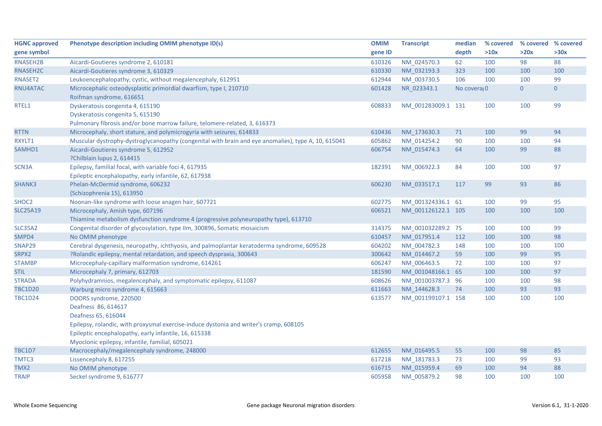| <b>HGNC approved</b> | Phenotype description including OMIM phenotype ID(s)                                                | <b>OMIM</b> | <b>Transcript</b>  | median       | % covered | % covered % covered |                |
|----------------------|-----------------------------------------------------------------------------------------------------|-------------|--------------------|--------------|-----------|---------------------|----------------|
| gene symbol          |                                                                                                     | gene ID     |                    | depth        | >10x      | >20x                | >30x           |
| RNASEH2B             | Aicardi-Goutieres syndrome 2, 610181                                                                | 610326      | NM_024570.3        | 62           | 100       | 98                  | 88             |
| RNASEH2C             | Aicardi-Goutieres syndrome 3, 610329                                                                | 610330      | NM_032193.3        | 323          | 100       | 100                 | 100            |
| RNASET2              | Leukoencephalopathy, cystic, without megalencephaly, 612951                                         | 612944      | NM_003730.5        | 106          | 100       | 100                 | 99             |
| RNU4ATAC             | Microcephalic osteodysplastic primordial dwarfism, type I, 210710                                   | 601428      | NR_023343.1        | No coveral 0 |           | $\overline{0}$      | $\overline{0}$ |
|                      | Roifman syndrome, 616651                                                                            |             |                    |              |           |                     |                |
| RTEL1                | Dyskeratosis congenita 4, 615190                                                                    | 608833      | NM_001283009.1 131 |              | 100       | 100                 | 99             |
|                      | Dyskeratosis congenita 5, 615190                                                                    |             |                    |              |           |                     |                |
|                      | Pulmonary fibrosis and/or bone marrow failure, telomere-related, 3, 616373                          |             |                    |              |           |                     |                |
| <b>RTTN</b>          | Microcephaly, short stature, and polymicrogyria with seizures, 614833                               | 610436      | NM_173630.3        | 71           | 100       | 99                  | 94             |
| RXYLT1               | Muscular dystrophy-dystroglycanopathy (congenital with brain and eye anomalies), type A, 10, 615041 | 605862      | NM 014254.2        | 90           | 100       | 100                 | 94             |
| SAMHD1               | Aicardi-Goutieres syndrome 5, 612952                                                                | 606754      | NM 015474.3        | 64           | 100       | 99                  | 88             |
|                      | ?Chilblain lupus 2, 614415                                                                          |             |                    |              |           |                     |                |
| SCN3A                | Epilepsy, familial focal, with variable foci 4, 617935                                              | 182391      | NM_006922.3        | 84           | 100       | 100                 | 97             |
|                      | Epileptic encephalopathy, early infantile, 62, 617938                                               |             |                    |              |           |                     |                |
| SHANK3               | Phelan-McDermid syndrome, 606232                                                                    | 606230      | NM_033517.1        | 117          | 99        | 93                  | 86             |
|                      | {Schizophrenia 15}, 613950                                                                          |             |                    |              |           |                     |                |
| SHOC2                | Noonan-like syndrome with loose anagen hair, 607721                                                 | 602775      | NM_001324336.1 61  |              | 100       | 99                  | 95             |
| <b>SLC25A19</b>      | Microcephaly, Amish type, 607196                                                                    | 606521      | NM_001126122.1 105 |              | 100       | 100                 | 100            |
|                      | Thiamine metabolism dysfunction syndrome 4 (progressive polyneuropathy type), 613710                |             |                    |              |           |                     |                |
| <b>SLC35A2</b>       | Congenital disorder of glycosylation, type IIm, 300896, Somatic mosaicism                           | 314375      | NM_001032289.2 75  |              | 100       | 100                 | 99             |
| SMPD4                | No OMIM phenotype                                                                                   | 610457      | NM_017951.4        | 112          | 100       | 100                 | 98             |
| SNAP29               | Cerebral dysgenesis, neuropathy, ichthyosis, and palmoplantar keratoderma syndrome, 609528          | 604202      | NM_004782.3        | 148          | 100       | 100                 | 100            |
| SRPX2                | ?Rolandic epilepsy, mental retardation, and speech dyspraxia, 300643                                | 300642      | NM_014467.2        | 59           | 100       | 99                  | 95             |
| <b>STAMBP</b>        | Microcephaly-capillary malformation syndrome, 614261                                                | 606247      | NM_006463.5        | 72           | 100       | 100                 | 97             |
| <b>STIL</b>          | Microcephaly 7, primary, 612703                                                                     | 181590      | NM 001048166.1 65  |              | 100       | 100                 | 97             |
| <b>STRADA</b>        | Polyhydramnios, megalencephaly, and symptomatic epilepsy, 611087                                    | 608626      | NM_001003787.3 96  |              | 100       | 100                 | 98             |
| <b>TBC1D20</b>       | Warburg micro syndrome 4, 615663                                                                    | 611663      | NM_144628.3        | 74           | 100       | 93                  | 93             |
| <b>TBC1D24</b>       | DOORS syndrome, 220500                                                                              | 613577      | NM_001199107.1 158 |              | 100       | 100                 | 100            |
|                      | Deafness 86, 614617                                                                                 |             |                    |              |           |                     |                |
|                      | Deafness 65, 616044                                                                                 |             |                    |              |           |                     |                |
|                      | Epilepsy, rolandic, with proxysmal exercise-induce dystonia and writer's cramp, 608105              |             |                    |              |           |                     |                |
|                      | Epileptic encephalopathy, early infantile, 16, 615338                                               |             |                    |              |           |                     |                |
|                      | Myoclonic epilepsy, infantile, familial, 605021                                                     |             |                    |              |           |                     |                |
| TBC1D7               | Macrocephaly/megalencephaly syndrome, 248000                                                        | 612655      | NM 016495.5        | 55           | 100       | 98                  | 85             |
| TMTC3                | Lissencephaly 8, 617255                                                                             | 617218      | NM_181783.3        | 73           | 100       | 99                  | 93             |
| TMX2                 | No OMIM phenotype                                                                                   | 616715      | NM 015959.4        | 69           | 100       | 94                  | 88             |
| <b>TRAIP</b>         | Seckel syndrome 9, 616777                                                                           | 605958      | NM 005879.2        | 98           | 100       | 100                 | 100            |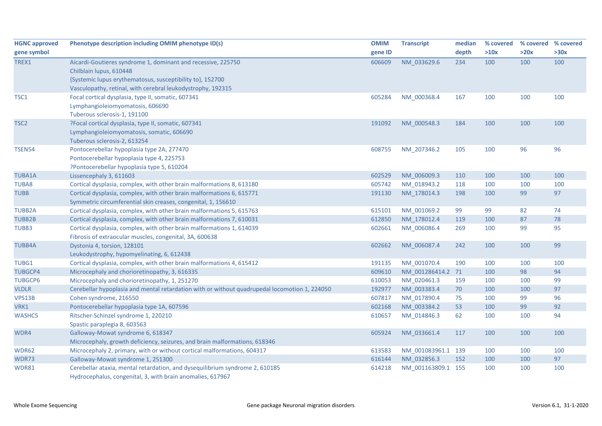| <b>HGNC approved</b> | Phenotype description including OMIM phenotype ID(s)                                          | <b>OMIM</b> | <b>Transcript</b>  | median | % covered | % covered % covered |      |
|----------------------|-----------------------------------------------------------------------------------------------|-------------|--------------------|--------|-----------|---------------------|------|
| gene symbol          |                                                                                               | gene ID     |                    | depth  | >10x      | >20x                | >30x |
| TREX1                | Aicardi-Goutieres syndrome 1, dominant and recessive, 225750                                  | 606609      | NM 033629.6        | 234    | 100       | 100                 | 100  |
|                      | Chilblain lupus, 610448                                                                       |             |                    |        |           |                     |      |
|                      | {Systemic lupus erythematosus, susceptibility to}, 152700                                     |             |                    |        |           |                     |      |
|                      | Vasculopathy, retinal, with cerebral leukodystrophy, 192315                                   |             |                    |        |           |                     |      |
| TSC1                 | Focal cortical dysplasia, type II, somatic, 607341                                            | 605284      | NM_000368.4        | 167    | 100       | 100                 | 100  |
|                      | Lymphangioleiomyomatosis, 606690                                                              |             |                    |        |           |                     |      |
|                      | Tuberous sclerosis-1, 191100                                                                  |             |                    |        |           |                     |      |
| TSC <sub>2</sub>     | ?Focal cortical dysplasia, type II, somatic, 607341                                           | 191092      | NM 000548.3        | 184    | 100       | 100                 | 100  |
|                      | Lymphangioleiomyomatosis, somatic, 606690                                                     |             |                    |        |           |                     |      |
|                      | Tuberous sclerosis-2, 613254                                                                  |             |                    |        |           |                     |      |
| TSEN54               | Pontocerebellar hypoplasia type 2A, 277470                                                    | 608755      | NM_207346.2        | 105    | 100       | 96                  | 96   |
|                      | Pontocerebellar hypoplasia type 4, 225753                                                     |             |                    |        |           |                     |      |
|                      | ?Pontocerebellar hypoplasia type 5, 610204                                                    |             |                    |        |           |                     |      |
| <b>TUBA1A</b>        | Lissencephaly 3, 611603                                                                       | 602529      | NM 006009.3        | 110    | 100       | 100                 | 100  |
| TUBA8                | Cortical dysplasia, complex, with other brain malformations 8, 613180                         | 605742      | NM 018943.2        | 118    | 100       | 100                 | 100  |
| <b>TUBB</b>          | Cortical dysplasia, complex, with other brain malformations 6, 615771                         | 191130      | NM_178014.3        | 198    | 100       | 99                  | 97   |
|                      | Symmetric circumferential skin creases, congenital, 1, 156610                                 |             |                    |        |           |                     |      |
| <b>TUBB2A</b>        | Cortical dysplasia, complex, with other brain malformations 5, 615763                         | 615101      | NM_001069.2        | 99     | 99        | 82                  | 74   |
| <b>TUBB2B</b>        | Cortical dysplasia, complex, with other brain malformations 7, 610031                         | 612850      | NM 178012.4        | 119    | 100       | 87                  | 78   |
| TUBB3                | Cortical dysplasia, complex, with other brain malformations 1, 614039                         | 602661      | NM_006086.4        | 269    | 100       | 99                  | 95   |
|                      | Fibrosis of extraocular muscles, congenital, 3A, 600638                                       |             |                    |        |           |                     |      |
| <b>TUBB4A</b>        | Dystonia 4, torsion, 128101                                                                   | 602662      | NM 006087.4        | 242    | 100       | 100                 | 99   |
|                      | Leukodystrophy, hypomyelinating, 6, 612438                                                    |             |                    |        |           |                     |      |
| TUBG1                | Cortical dysplasia, complex, with other brain malformations 4, 615412                         | 191135      | NM_001070.4        | 190    | 100       | 100                 | 100  |
| <b>TUBGCP4</b>       | Microcephaly and chorioretinopathy, 3, 616335                                                 | 609610      | NM 001286414.2     | 71     | 100       | 98                  | 94   |
| <b>TUBGCP6</b>       | Microcephaly and chorioretinopathy, 1, 251270                                                 | 610053      | NM_020461.3        | 159    | 100       | 100                 | 99   |
| <b>VLDLR</b>         | Cerebellar hypoplasia and mental retardation with or without quadrupedal locomotion 1, 224050 | 192977      | NM 003383.4        | 70     | 100       | 100                 | 97   |
| VPS13B               | Cohen syndrome, 216550                                                                        | 607817      | NM 017890.4        | 75     | 100       | 99                  | 96   |
| VRK1                 | Pontocerebellar hypoplasia type 1A, 607596                                                    | 602168      | NM_003384.2        | 53     | 100       | 99                  | 92   |
| <b>WASHC5</b>        | Ritscher-Schinzel syndrome 1, 220210                                                          | 610657      | NM_014846.3        | 62     | 100       | 100                 | 94   |
|                      | Spastic paraplegia 8, 603563                                                                  |             |                    |        |           |                     |      |
| WDR4                 | Galloway-Mowat syndrome 6, 618347                                                             | 605924      | NM_033661.4        | 117    | 100       | 100                 | 100  |
|                      | Microcephaly, growth deficiency, seizures, and brain malformations, 618346                    |             |                    |        |           |                     |      |
| WDR62                | Microcephaly 2, primary, with or without cortical malformations, 604317                       | 613583      | NM 001083961.1 139 |        | 100       | 100                 | 100  |
| WDR73                | Galloway-Mowat syndrome 1, 251300                                                             | 616144      | NM 032856.3        | 152    | 100       | 100                 | 97   |
| <b>WDR81</b>         | Cerebellar ataxia, mental retardation, and dysequilibrium syndrome 2, 610185                  | 614218      | NM 001163809.1 155 |        | 100       | 100                 | 100  |
|                      | Hydrocephalus, congenital, 3, with brain anomalies, 617967                                    |             |                    |        |           |                     |      |